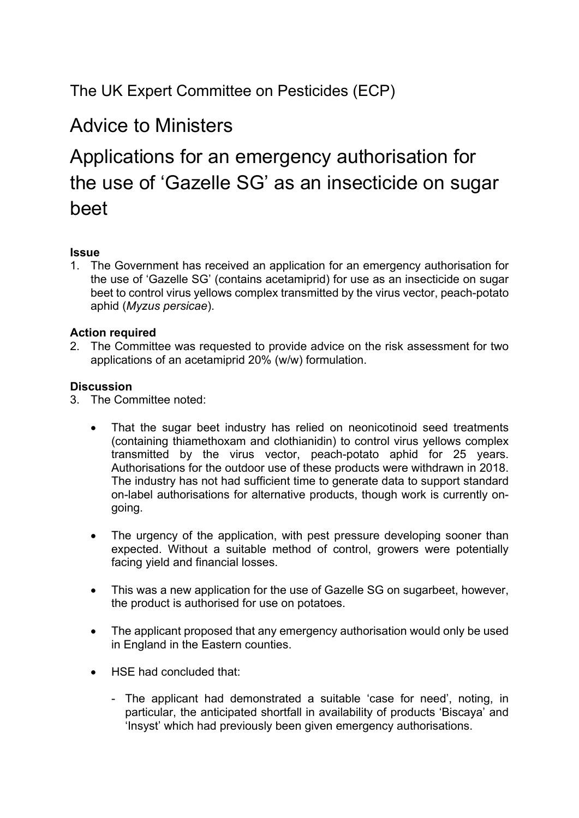### The UK Expert Committee on Pesticides (ECP)

## Advice to Ministers

# Applications for an emergency authorisation for the use of 'Gazelle SG' as an insecticide on sugar beet

#### **Issue**

1. The Government has received an application for an emergency authorisation for the use of 'Gazelle SG' (contains acetamiprid) for use as an insecticide on sugar beet to control virus yellows complex transmitted by the virus vector, peach-potato aphid (*Myzus persicae*).

#### **Action required**

2. The Committee was requested to provide advice on the risk assessment for two applications of an acetamiprid 20% (w/w) formulation.

#### **Discussion**

- 3. The Committee noted:
	- That the sugar beet industry has relied on neonicotinoid seed treatments (containing thiamethoxam and clothianidin) to control virus yellows complex transmitted by the virus vector, peach-potato aphid for 25 years. Authorisations for the outdoor use of these products were withdrawn in 2018. The industry has not had sufficient time to generate data to support standard on-label authorisations for alternative products, though work is currently ongoing.
	- The urgency of the application, with pest pressure developing sooner than expected. Without a suitable method of control, growers were potentially facing yield and financial losses.
	- This was a new application for the use of Gazelle SG on sugarbeet, however, the product is authorised for use on potatoes.
	- The applicant proposed that any emergency authorisation would only be used in England in the Eastern counties.
	- HSE had concluded that:
		- The applicant had demonstrated a suitable 'case for need', noting, in particular, the anticipated shortfall in availability of products 'Biscaya' and 'Insyst' which had previously been given emergency authorisations.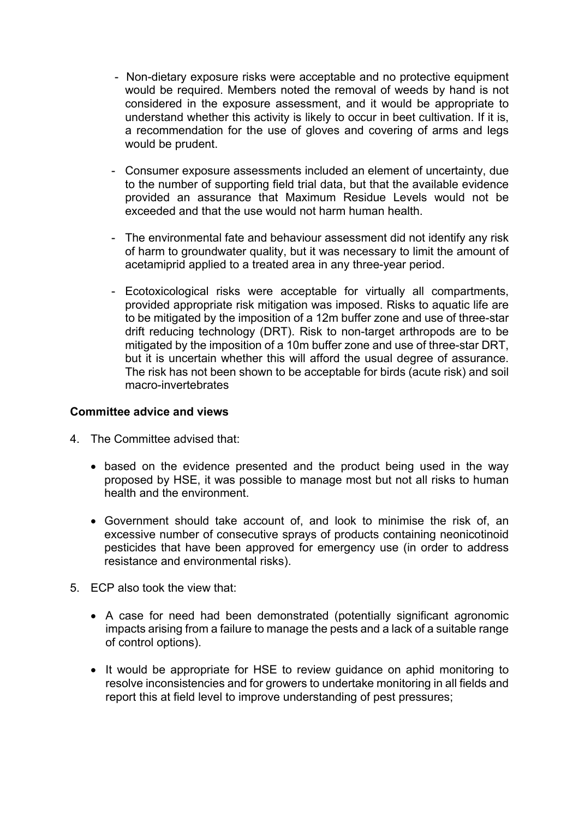- Non-dietary exposure risks were acceptable and no protective equipment would be required. Members noted the removal of weeds by hand is not considered in the exposure assessment, and it would be appropriate to understand whether this activity is likely to occur in beet cultivation. If it is, a recommendation for the use of gloves and covering of arms and legs would be prudent.
- Consumer exposure assessments included an element of uncertainty, due to the number of supporting field trial data, but that the available evidence provided an assurance that Maximum Residue Levels would not be exceeded and that the use would not harm human health.
- The environmental fate and behaviour assessment did not identify any risk of harm to groundwater quality, but it was necessary to limit the amount of acetamiprid applied to a treated area in any three-year period.
- Ecotoxicological risks were acceptable for virtually all compartments, provided appropriate risk mitigation was imposed. Risks to aquatic life are to be mitigated by the imposition of a 12m buffer zone and use of three-star drift reducing technology (DRT). Risk to non-target arthropods are to be mitigated by the imposition of a 10m buffer zone and use of three-star DRT, but it is uncertain whether this will afford the usual degree of assurance. The risk has not been shown to be acceptable for birds (acute risk) and soil macro-invertebrates

#### **Committee advice and views**

- 4. The Committee advised that:
	- based on the evidence presented and the product being used in the way proposed by HSE, it was possible to manage most but not all risks to human health and the environment.
	- Government should take account of, and look to minimise the risk of, an excessive number of consecutive sprays of products containing neonicotinoid pesticides that have been approved for emergency use (in order to address resistance and environmental risks).
- 5. ECP also took the view that:
	- A case for need had been demonstrated (potentially significant agronomic impacts arising from a failure to manage the pests and a lack of a suitable range of control options).
	- It would be appropriate for HSE to review guidance on aphid monitoring to resolve inconsistencies and for growers to undertake monitoring in all fields and report this at field level to improve understanding of pest pressures;